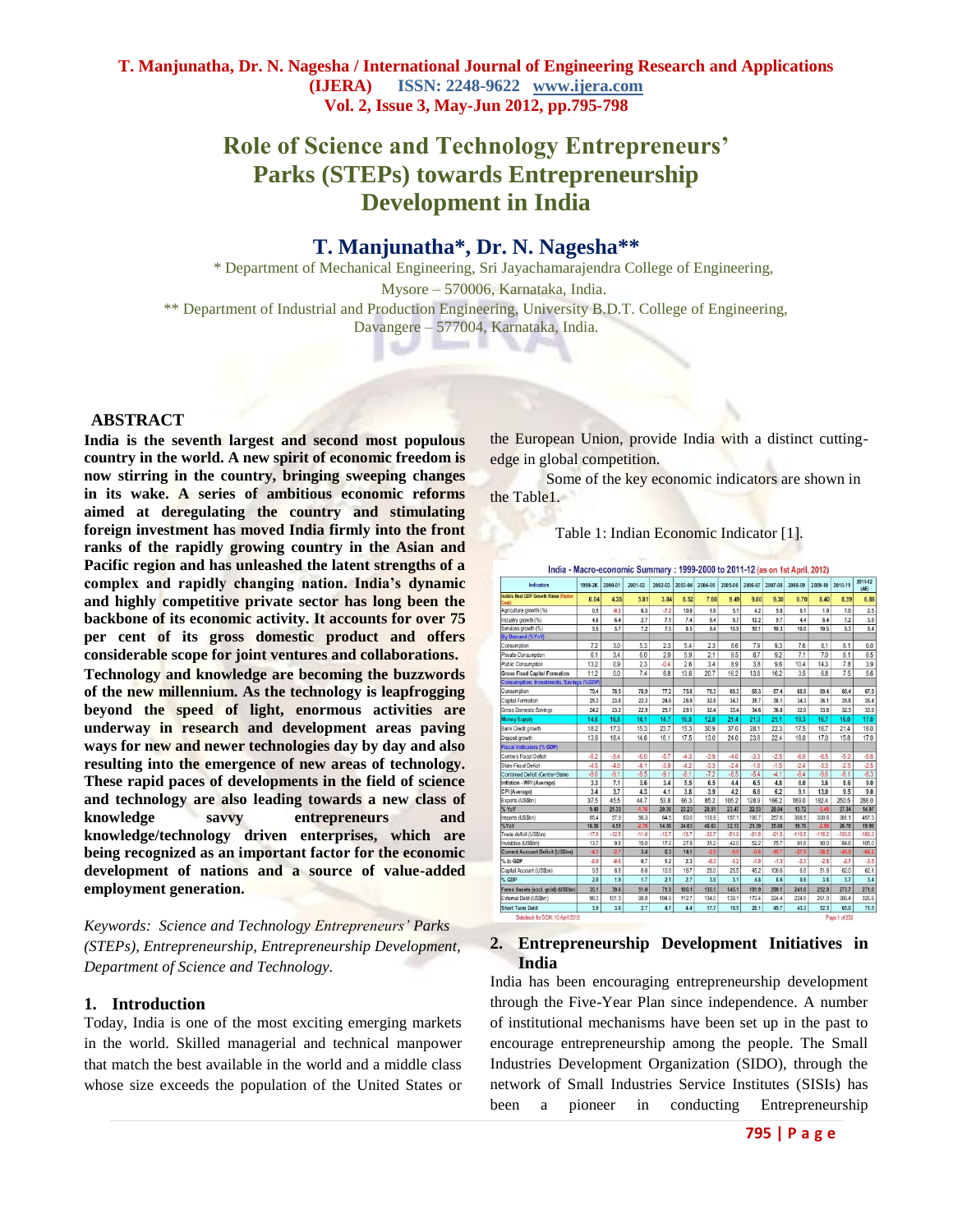# **Role of Science and Technology Entrepreneurs' Parks (STEPs) towards Entrepreneurship Development in India**

# **T. Manjunatha\*, Dr. N. Nagesha\*\***

\* Department of Mechanical Engineering, Sri Jayachamarajendra College of Engineering,

Mysore – 570006, Karnataka, India.

\*\* Department of Industrial and Production Engineering, University B.D.T. College of Engineering,

Davangere – 577004, Karnataka, India.

#### **ABSTRACT**

**India is the seventh largest and second most populous country in the world. A new spirit of economic freedom is now stirring in the country, bringing sweeping changes in its wake. A series of ambitious economic reforms aimed at deregulating the country and stimulating foreign investment has moved India firmly into the front ranks of the rapidly growing country in the Asian and Pacific region and has unleashed the latent strengths of a complex and rapidly changing nation. India's dynamic and highly competitive private sector has long been the backbone of its economic activity. It accounts for over 75 per cent of its gross domestic product and offers considerable scope for joint ventures and collaborations. Technology and knowledge are becoming the buzzwords of the new millennium. As the technology is leapfrogging beyond the speed of light, enormous activities are underway in research and development areas paving ways for new and newer technologies day by day and also resulting into the emergence of new areas of technology. These rapid paces of developments in the field of science and technology are also leading towards a new class of knowledge savvy entrepreneurs and knowledge/technology driven enterprises, which are being recognized as an important factor for the economic development of nations and a source of value-added employment generation.**

*Keywords: Science and Technology Entrepreneurs' Parks (STEPs), Entrepreneurship, Entrepreneurship Development, Department of Science and Technology.*

## **1. Introduction**

Today, India is one of the most exciting emerging markets in the world. Skilled managerial and technical manpower that match the best available in the world and a middle class whose size exceeds the population of the United States or the European Union, provide India with a distinct cuttingedge in global competition.

Some of the key economic indicators are shown in the Table1.

|  |  |  | Table 1: Indian Economic Indicator [1]. |  |  |
|--|--|--|-----------------------------------------|--|--|
|--|--|--|-----------------------------------------|--|--|

| <b>Indicators</b>                               | 1999-2K | 2000-01 | 2001-02 | 2002-03 | 2003-04        | 2004-05 | 2005-06 | 2006-07 | 2007-08 | 2008-09  | 2009-10  | 2010-11  | 2011-12<br>(AE) |
|-------------------------------------------------|---------|---------|---------|---------|----------------|---------|---------|---------|---------|----------|----------|----------|-----------------|
| India's Real GDP Growth Rates (Factor<br>Cost   | 6.04    | 4.35    | 5.81    | 3.84    | 8.52           | 7.60    | 9.49    | 9.60    | 9.30    | 6.70     | 8.40     | 8.39     | 6.88            |
| Agriculture growth (%)                          | 0.5     | $-0.2$  | 6.3     | $-7.2$  | 10.0           | 1.6     | 5.1     | 4.2     | 5.8     | 0.1      | 1.0      | 7.0      | 2.5             |
| lindustry growth (%)                            | 4.6     | 6.4     | 2.7     | 7.1     | 7 <sub>A</sub> | 9.4     | 9.7     | 12.2    | 9.7     | 4.4      | 8.4      | 7.2      | 3.9             |
| Services growth (%)                             | 9.5     | 5.7     | 72      | 7.5     | 8.5            | 9.4     | 10.9    | 10.1    | 10.3    | 10.0     | 10.5     | 9.3      | 9.4             |
| By Demand (%YoY)                                |         |         |         |         |                |         |         |         |         |          |          |          |                 |
| Consumption                                     | 72      | 3.0     | 5.3     | 23      | 5.4            | 2.3     | 8.6     | 7.9     | 9.3     | 7.6      | 8.1      | 8.1      | 6.0             |
| Private Consumption                             | 6.1     | 3.4     | 6.0     | 2.9     | 5.9            | 2.1     | 8.5     | 8.7     | 9.2     | 7.1      | 7.0      | 8.1      | 6.5             |
| Public Consumption                              | 13.2    | 0.9     | 23      | $-0.4$  | 2.6            | 3.4     | 8.9     | 3.8     | 9.6     | 10.4     | 14.3     | 7.8      | 3.9             |
| <b>Gross Fixed Capital Formation</b>            | 11.2    | 0.0     | 7.4     | 6.8     | 13.6           | 20.7    | 16.2    | 13.8    | 16.2    | 3.5      | 6.8      | 7.5      | 5.6             |
| <b>Consumption: Investments, Savings (%GDP)</b> |         |         |         |         |                |         |         |         |         |          |          |          |                 |
| Consumption                                     | 79.4    | 78.5    | 78.9    | 77.2    | 750            | 70.3    | 69.3    | 68.3    | 67.4    | 68.8     | 69.4     | 68.4     | 67.9            |
| Capital Formation                               | 25.3    | 23.8    | 22.3    | 24.6    | 26.9           | 32.8    | 34.7    | 35.7    | 38.1    | 34.3     | 36.1     | 35.8     | 35.4            |
| Gross Domestic Savings                          | 24.2    | 23.2    | 22.9    | 25.7    | 29.1           | 32.4    | 33.4    | 34.6    | 36.8    | 32.0     | 33.8     | 32.3     | 33.0            |
| <b>Money Supply</b>                             | 14.6    | 16.8    | 14.1    | 14.7    | 16.8           | 12.0    | 21.4    | 21.3    | 21.1    | 19.3     | 16.7     | 16.0     | 17.0            |
| Bank Credit growth                              | 18.2    | 17.3    | 15.3    | 23.7    | 15.3           | 30.9    | 37.0    | 28.1    | 22.3    | 17.5     | 16.7     | 21.4     | 18.0            |
| Deposit growth                                  | 13.9    | 18.4    | 14.6    | 16.1    | 17.5           | 13.0    | 24.0    | 23.8    | 22.4    | 18.0     | 17.0     | 15.8     | 17.0            |
| <b>Fiscal Indicators (% GDP)</b>                |         |         |         |         |                |         |         |         |         |          |          |          |                 |
| Centre's Fiscal Deficit                         | $-5.2$  | $-5.4$  | $-6.0$  | $-5.7$  | $-4.3$         | $-3.9$  | $-4.0$  | $-3.3$  | $-2.5$  | $-6.0$   | $-6.5$   | $-5.2$   | $-5.8$          |
| State Fiscal Deficit                            | 45      | 40      | $-4.1$  | $-39$   | $-42$          | $-33$   | $-2.4$  | $-18$   | $-1.5$  | $-24$    | $-3.3$   | $-2.5$   | $-2.5$          |
| Combined Deficit (Centre+State)                 | $-9.0$  | $-9.1$  | $-9.5$  | $-9.1$  | $-8.1$         | $-7.2$  | $-6.5$  | $-5.4$  | $-4.1$  | $-84$    | $-9.6$   | $-8.1$   | $-8.3$          |
| Inflation - WPI (Average)                       | 3.3     | 7.1     | 3.6     | 3.4     | 5.5            | 6.5     | 4.4     | 6.5     | 4.8     | 8.0      | 3.6      | 8.6      | 9.0             |
| CPI (Average)                                   | 3.4     | 3.7     | 4.3     | 4.1     | 3.8            | 3.9     | 4.2     | 6.8     | 6.2     | 9.1      | 13.0     | 9.5      | 9.0             |
| Exports (US\$bn)                                | 37.5    | 45.5    | 44.7    | 53.8    | 66.3           | 85.2    | 105.2   | 128.9   | 166.2   | 189.0    | 182.4    | 250.5    | 288.0           |
| % YoY                                           | 9.49    | 21.33   | $-1.76$ | 20.36   | 23.23          | 28.51   | 23.47   | 22.53   | 28.94   | 13.72    | $-3.49$  | 37.34    | 14.97           |
| Imports (US\$bn)                                | 55.4    | 57.9    | 56.3    | 64.5    | 80.0           | 118.9   | 157.1   | 190.7   | 257.6   | 308.5    | 300.6    | 381.1    | 457.3           |
| %YoY                                            | 16.50   | 4.51    | $-2.76$ | 14.56   | 24.03          | 48.63   | 32.13   | 21.39   | 35.08   | 19.76    | $-2.56$  | 26.78    | 19.99           |
| Trade deficit (US\$bn)                          | $-17.8$ | $-12.5$ | $-11.6$ | $-10.7$ | $-13.7$        | $-33.7$ | $-51.9$ | $-61.8$ | $-91.5$ | $-119.5$ | $-118.2$ | $-130.6$ | $-169.2$        |
| Invisibles (US\$bn)                             | 13.7    | 9.8     | 15.0    | 17.0    | 27.8           | 31.2    | 42.0    | 522     | 75.7    | 91.6     | 80.0     | 84.6     | 105.0           |
| <b>Current Account Deficit (US\$bn)</b>         | $-4.1$  | $-2.7$  | 3.4     | 6.3     | 14.1           | 2.5     | $-9.9$  | $-9.6$  | $-15.7$ | 27.9     | $-38.2$  | 45.9     | $-64.2$         |
| % to GDP                                        | $-0.9$  | $-0.6$  | 0.7     | 1.2     | 2.3            | $-0.3$  | $-1.2$  | $-1.0$  | $-1.3$  | $-23$    | $-2.8$   | $-2.7$   | $-3.5$          |
| Capital Account (US\$bn)                        | 9.5     | 8.8     | 8.6     | 10.8    | 167            | 28.0    | 25.5    | 45.2    | 106.6   | 6.8      | 51.6     | 62.0     | 62.1            |
| % GDP                                           | 2.0     | 1.9     | 17      | 2.1     | 2.7            | 3.9     | 3.1     | 4.8     | 8.6     | 0.6      | 3.8      | 3.7      | 3.4             |
| Forex Assets (excl. gold) (US\$bn)              | 35.1    | 39.6    | 51.0    | 71.9    | 106.1          | 135.1   | 145.1   | 191.9   | 299.1   | 241.6    | 252.8    | 273.7    | 271.6           |
| External Debt (US\$bn)                          | 98.3    | 101.3   | 98.8    | 104.9   | 1127           | 134.0   | 139.1   | 172.4   | 224.4   | 2245     | 261.0    | 306.4    | 326.6           |
| <b>Short Term Debt</b>                          | 3.9     | 3.6     | 2.7     | 4.7     | 4A             | 17.7    | 19.5    | 28.1    | 45.7    | 43.3     | 52.3     | 65.0     | 71.5            |

## **2. Entrepreneurship Development Initiatives in India**

India has been encouraging entrepreneurship development through the Five-Year Plan since independence. A number of institutional mechanisms have been set up in the past to encourage entrepreneurship among the people. The Small Industries Development Organization (SIDO), through the network of Small Industries Service Institutes (SISIs) has been a pioneer in conducting Entrepreneurship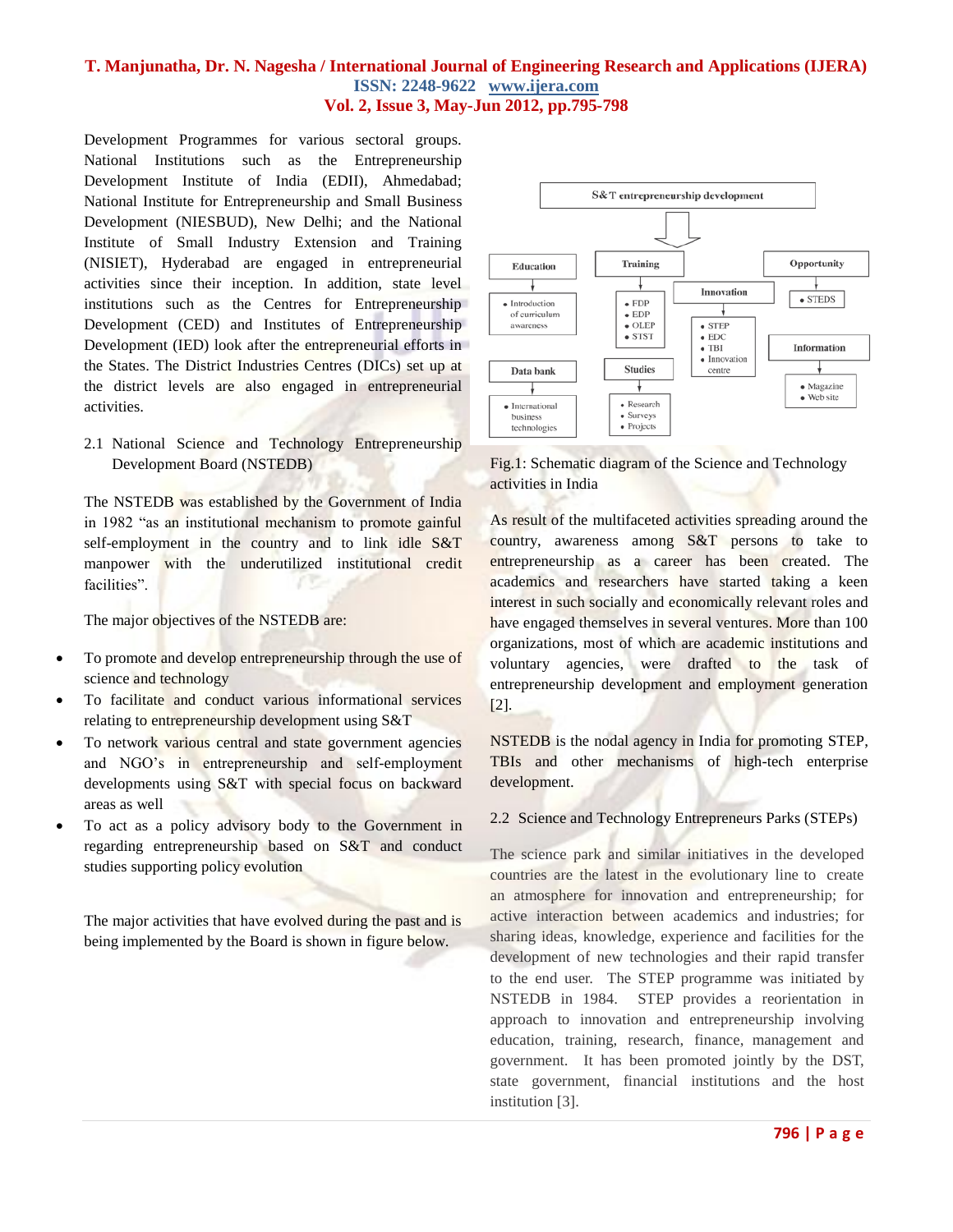#### **T. Manjunatha, Dr. N. Nagesha / International Journal of Engineering Research and Applications (IJERA) ISSN: 2248-9622 www.ijera.com Vol. 2, Issue 3, May-Jun 2012, pp.795-798**

Development Programmes for various sectoral groups. National Institutions such as the Entrepreneurship Development Institute of India (EDII), Ahmedabad; National Institute for Entrepreneurship and Small Business Development (NIESBUD), New Delhi; and the National Institute of Small Industry Extension and Training (NISIET), Hyderabad are engaged in entrepreneurial activities since their inception. In addition, state level institutions such as the Centres for Entrepreneurship Development (CED) and Institutes of Entrepreneurship Development (IED) look after the entrepreneurial efforts in the States. The District Industries Centres (DICs) set up at the district levels are also engaged in entrepreneurial activities.

2.1 National Science and Technology Entrepreneurship Development Board (NSTEDB)

The NSTEDB was established by the Government of India in 1982 "as an institutional mechanism to promote gainful self-employment in the country and to link idle S&T manpower with the underutilized institutional credit facilities".

The major objectives of the NSTEDB are:

- To promote and develop entrepreneurship through the use of science and technology
- To facilitate and conduct various informational services relating to entrepreneurship development using S&T
- To network various central and state government agencies and NGO's in entrepreneurship and self-employment developments using S&T with special focus on backward areas as well
- To act as a policy advisory body to the Government in regarding entrepreneurship based on S&T and conduct studies supporting policy evolution

The major activities that have evolved during the past and is being implemented by the Board is shown in figure below.



Fig.1: Schematic diagram of the Science and Technology activities in India

As result of the multifaceted activities spreading around the country, awareness among S&T persons to take to entrepreneurship as a career has been created. The academics and researchers have started taking a keen interest in such socially and economically relevant roles and have engaged themselves in several ventures. More than 100 organizations, most of which are academic institutions and voluntary agencies, were drafted to the task of entrepreneurship development and employment generation [2].

NSTEDB is the nodal agency in India for promoting STEP, TBIs and other mechanisms of high-tech enterprise development.

2.2 Science and Technology Entrepreneurs Parks (STEPs)

The science park and similar initiatives in the developed countries are the latest in the evolutionary line to create an atmosphere for innovation and entrepreneurship; for active interaction between academics and industries; for sharing ideas, knowledge, experience and facilities for the development of new technologies and their rapid transfer to the end user. The STEP programme was initiated by NSTEDB in 1984. STEP provides a reorientation in approach to innovation and entrepreneurship involving education, training, research, finance, management and government. It has been promoted jointly by the DST, state government, financial institutions and the host institution [3].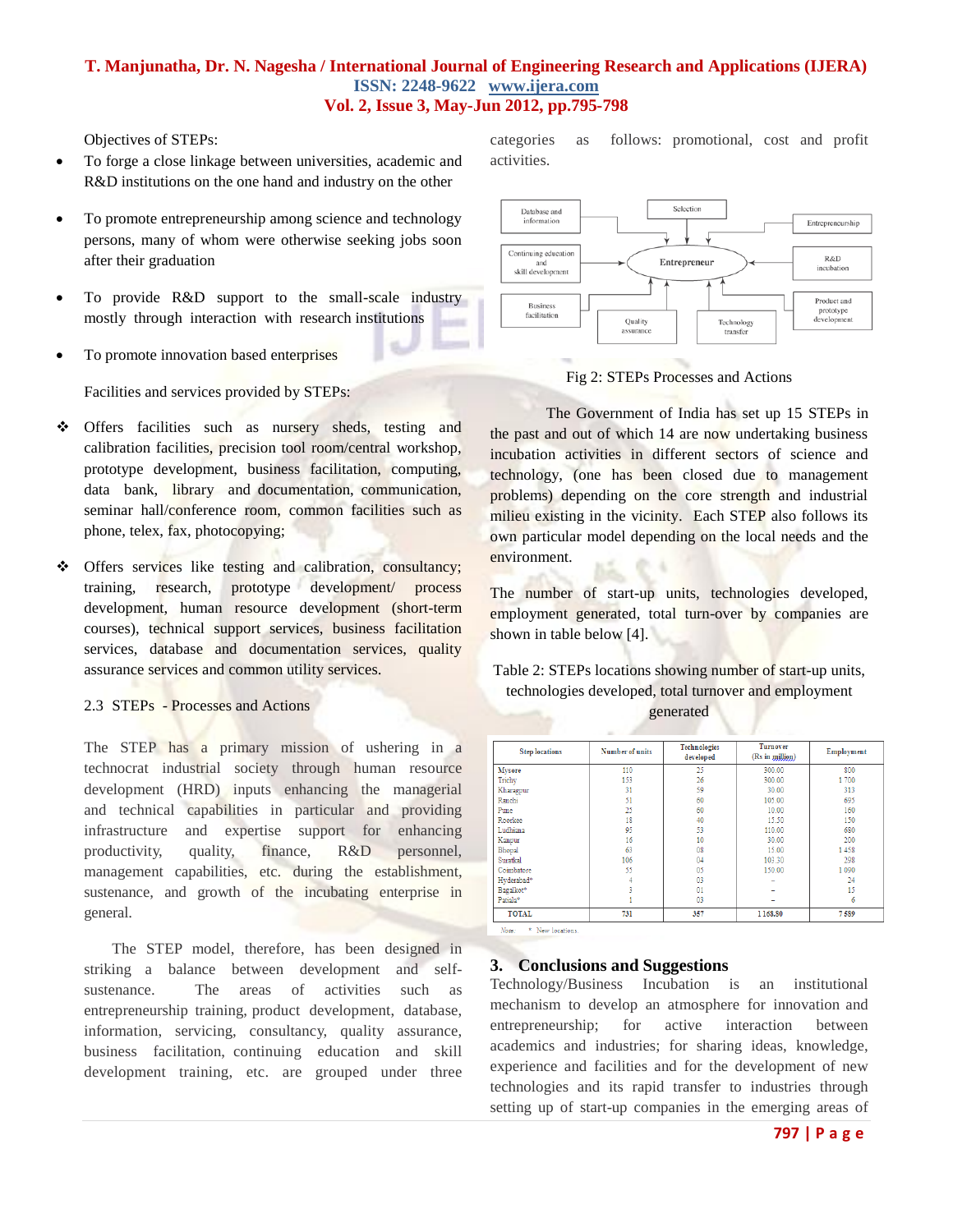#### **T. Manjunatha, Dr. N. Nagesha / International Journal of Engineering Research and Applications (IJERA) ISSN: 2248-9622 www.ijera.com Vol. 2, Issue 3, May-Jun 2012, pp.795-798**

Objectives of STEPs:

- To forge a close linkage between universities, academic and R&D institutions on the one hand and industry on the other
- To promote entrepreneurship among science and technology persons, many of whom were otherwise seeking jobs soon after their graduation
- To provide R&D support to the small-scale industry mostly through interaction with research institutions
- To promote innovation based enterprises

Facilities and services provided by STEPs:

- Offers facilities such as nursery sheds, testing and calibration facilities, precision tool room/central workshop, prototype development, business facilitation, computing, data bank, library and documentation, communication, seminar hall/conference room, common facilities such as phone, telex, fax, photocopying;
- Offers services like testing and calibration, consultancy; training, research, prototype development/ process development, human resource development (short-term courses), technical support services, business facilitation services, database and documentation services, quality assurance services and common utility services.

#### 2.3 STEPs - Processes and Actions

The STEP has a primary mission of ushering in a technocrat industrial society through human resource development (HRD) inputs enhancing the managerial and technical capabilities in particular and providing infrastructure and expertise support for enhancing productivity, quality, finance, R&D personnel, management capabilities, etc. during the establishment, sustenance, and growth of the incubating enterprise in general.

The STEP model, therefore, has been designed in striking a balance between development and selfsustenance. The areas of activities such as entrepreneurship training, product development, database, information, servicing, consultancy, quality assurance, business facilitation, continuing education and skill development training, etc. are grouped under three categories as follows: promotional, cost and profit activities.



Fig 2: STEPs Processes and Actions

The Government of India has set up 15 STEPs in the past and out of which 14 are now undertaking business incubation activities in different sectors of science and technology, (one has been closed due to management problems) depending on the core strength and industrial milieu existing in the vicinity. Each STEP also follows its own particular model depending on the local needs and the environment.

The number of start-up units, technologies developed, employment generated, total turn-over by companies are shown in table below [4].

Table 2: STEPs locations showing number of start-up units, technologies developed, total turnover and employment

generated

| <b>Step locations</b> | Number of units | Technologies<br>developed | <b>Turnover</b><br>(Rs in million) | Employment |
|-----------------------|-----------------|---------------------------|------------------------------------|------------|
| <b>Mysore</b>         | 110             | 25                        | 300.00                             | 800        |
| Trichy                | 153             | 26                        | 300.00                             | 1 700      |
| Kharagpur             | 31              | 59                        | 30.00                              | 313        |
| Ranchi                | 51              | 60                        | 105.00                             | 695        |
| Pune                  | 25              | 60                        | 10.00                              | 160        |
| Roorkee               | 18              | 40                        | 15.50                              | 150        |
| Ludhiana              | 95              | 53                        | 110.00                             | 680        |
| Kanpur                | 16              | 10                        | 30.00                              | 200        |
| Bhopal                | 63              | 08                        | 15.00                              | 1458       |
| Suratkal              | 106             | 04                        | 103.30                             | 298        |
| Coimbatore            | 55              | 05                        | 150.00                             | 1 0 9 0    |
| Hyderabad*            | 4               | 03                        |                                    | 24         |
| Bagalkot*             | 3               | 01                        |                                    | 15         |
| Patiala*              |                 | 03                        |                                    | 6          |
| <b>TOTAL</b>          | 731             | 357                       | 1168.80                            | 7589       |

Note: \* New locations

## **3. Conclusions and Suggestions**

Technology/Business Incubation is an institutional mechanism to develop an atmosphere for innovation and entrepreneurship; for active interaction between academics and industries; for sharing ideas, knowledge, experience and facilities and for the development of new technologies and its rapid transfer to industries through setting up of start-up companies in the emerging areas of